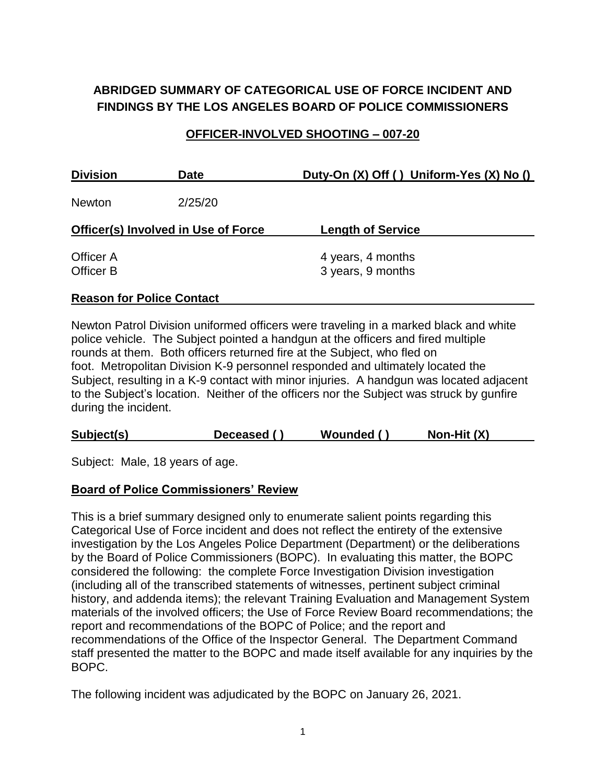# **ABRIDGED SUMMARY OF CATEGORICAL USE OF FORCE INCIDENT AND FINDINGS BY THE LOS ANGELES BOARD OF POLICE COMMISSIONERS**

### **OFFICER-INVOLVED SHOOTING – 007-20**

| <b>Division</b>                            | <b>Date</b> | Duty-On (X) Off () Uniform-Yes (X) No () |
|--------------------------------------------|-------------|------------------------------------------|
| <b>Newton</b>                              | 2/25/20     |                                          |
| <b>Officer(s) Involved in Use of Force</b> |             | <b>Length of Service</b>                 |
| Officer A<br>Officer B                     |             | 4 years, 4 months<br>3 years, 9 months   |

#### **Reason for Police Contact**

Newton Patrol Division uniformed officers were traveling in a marked black and white police vehicle. The Subject pointed a handgun at the officers and fired multiple rounds at them. Both officers returned fire at the Subject, who fled on foot. Metropolitan Division K-9 personnel responded and ultimately located the Subject, resulting in a K-9 contact with minor injuries. A handgun was located adjacent to the Subject's location. Neither of the officers nor the Subject was struck by gunfire during the incident.

| Subject(s)<br>Non-Hit (X)<br>Wounded ()<br>Deceased () |
|--------------------------------------------------------|
|--------------------------------------------------------|

Subject: Male, 18 years of age.

#### **Board of Police Commissioners' Review**

This is a brief summary designed only to enumerate salient points regarding this Categorical Use of Force incident and does not reflect the entirety of the extensive investigation by the Los Angeles Police Department (Department) or the deliberations by the Board of Police Commissioners (BOPC). In evaluating this matter, the BOPC considered the following: the complete Force Investigation Division investigation (including all of the transcribed statements of witnesses, pertinent subject criminal history, and addenda items); the relevant Training Evaluation and Management System materials of the involved officers; the Use of Force Review Board recommendations; the report and recommendations of the BOPC of Police; and the report and recommendations of the Office of the Inspector General. The Department Command staff presented the matter to the BOPC and made itself available for any inquiries by the BOPC.

The following incident was adjudicated by the BOPC on January 26, 2021.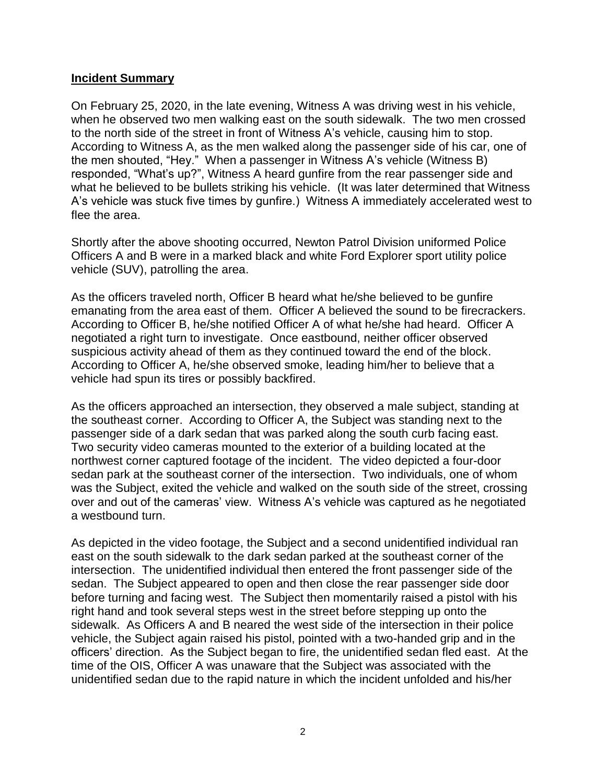#### **Incident Summary**

On February 25, 2020, in the late evening, Witness A was driving west in his vehicle, when he observed two men walking east on the south sidewalk. The two men crossed to the north side of the street in front of Witness A's vehicle, causing him to stop. According to Witness A, as the men walked along the passenger side of his car, one of the men shouted, "Hey." When a passenger in Witness A's vehicle (Witness B) responded, "What's up?", Witness A heard gunfire from the rear passenger side and what he believed to be bullets striking his vehicle. (It was later determined that Witness A's vehicle was stuck five times by gunfire.) Witness A immediately accelerated west to flee the area.

Shortly after the above shooting occurred, Newton Patrol Division uniformed Police Officers A and B were in a marked black and white Ford Explorer sport utility police vehicle (SUV), patrolling the area.

As the officers traveled north, Officer B heard what he/she believed to be gunfire emanating from the area east of them. Officer A believed the sound to be firecrackers. According to Officer B, he/she notified Officer A of what he/she had heard. Officer A negotiated a right turn to investigate. Once eastbound, neither officer observed suspicious activity ahead of them as they continued toward the end of the block. According to Officer A, he/she observed smoke, leading him/her to believe that a vehicle had spun its tires or possibly backfired.

As the officers approached an intersection, they observed a male subject, standing at the southeast corner. According to Officer A, the Subject was standing next to the passenger side of a dark sedan that was parked along the south curb facing east. Two security video cameras mounted to the exterior of a building located at the northwest corner captured footage of the incident. The video depicted a four-door sedan park at the southeast corner of the intersection. Two individuals, one of whom was the Subject, exited the vehicle and walked on the south side of the street, crossing over and out of the cameras' view. Witness A's vehicle was captured as he negotiated a westbound turn.

As depicted in the video footage, the Subject and a second unidentified individual ran east on the south sidewalk to the dark sedan parked at the southeast corner of the intersection. The unidentified individual then entered the front passenger side of the sedan. The Subject appeared to open and then close the rear passenger side door before turning and facing west. The Subject then momentarily raised a pistol with his right hand and took several steps west in the street before stepping up onto the sidewalk. As Officers A and B neared the west side of the intersection in their police vehicle, the Subject again raised his pistol, pointed with a two-handed grip and in the officers' direction. As the Subject began to fire, the unidentified sedan fled east. At the time of the OIS, Officer A was unaware that the Subject was associated with the unidentified sedan due to the rapid nature in which the incident unfolded and his/her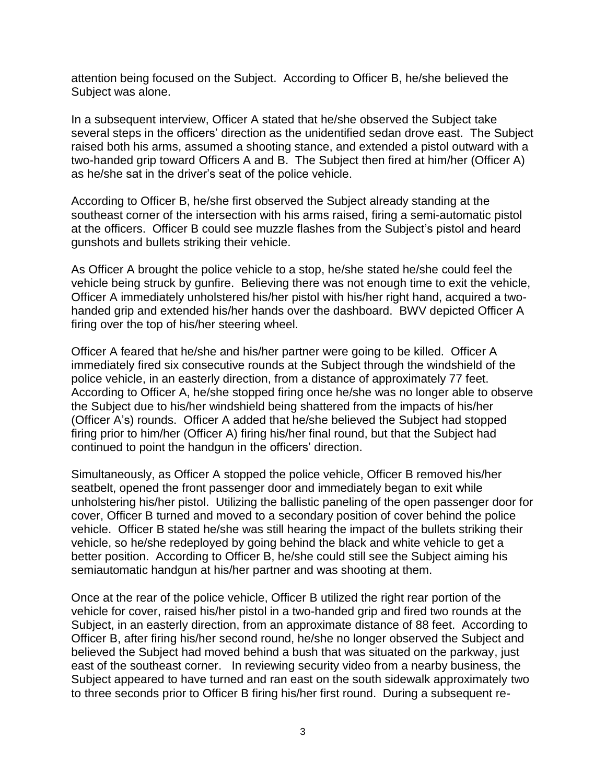attention being focused on the Subject. According to Officer B, he/she believed the Subject was alone.

In a subsequent interview, Officer A stated that he/she observed the Subject take several steps in the officers' direction as the unidentified sedan drove east. The Subject raised both his arms, assumed a shooting stance, and extended a pistol outward with a two-handed grip toward Officers A and B. The Subject then fired at him/her (Officer A) as he/she sat in the driver's seat of the police vehicle.

According to Officer B, he/she first observed the Subject already standing at the southeast corner of the intersection with his arms raised, firing a semi-automatic pistol at the officers. Officer B could see muzzle flashes from the Subject's pistol and heard gunshots and bullets striking their vehicle.

As Officer A brought the police vehicle to a stop, he/she stated he/she could feel the vehicle being struck by gunfire. Believing there was not enough time to exit the vehicle, Officer A immediately unholstered his/her pistol with his/her right hand, acquired a twohanded grip and extended his/her hands over the dashboard. BWV depicted Officer A firing over the top of his/her steering wheel.

Officer A feared that he/she and his/her partner were going to be killed. Officer A immediately fired six consecutive rounds at the Subject through the windshield of the police vehicle, in an easterly direction, from a distance of approximately 77 feet. According to Officer A, he/she stopped firing once he/she was no longer able to observe the Subject due to his/her windshield being shattered from the impacts of his/her (Officer A's) rounds. Officer A added that he/she believed the Subject had stopped firing prior to him/her (Officer A) firing his/her final round, but that the Subject had continued to point the handgun in the officers' direction.

Simultaneously, as Officer A stopped the police vehicle, Officer B removed his/her seatbelt, opened the front passenger door and immediately began to exit while unholstering his/her pistol. Utilizing the ballistic paneling of the open passenger door for cover, Officer B turned and moved to a secondary position of cover behind the police vehicle. Officer B stated he/she was still hearing the impact of the bullets striking their vehicle, so he/she redeployed by going behind the black and white vehicle to get a better position. According to Officer B, he/she could still see the Subject aiming his semiautomatic handgun at his/her partner and was shooting at them.

Once at the rear of the police vehicle, Officer B utilized the right rear portion of the vehicle for cover, raised his/her pistol in a two-handed grip and fired two rounds at the Subject, in an easterly direction, from an approximate distance of 88 feet. According to Officer B, after firing his/her second round, he/she no longer observed the Subject and believed the Subject had moved behind a bush that was situated on the parkway, just east of the southeast corner. In reviewing security video from a nearby business, the Subject appeared to have turned and ran east on the south sidewalk approximately two to three seconds prior to Officer B firing his/her first round. During a subsequent re-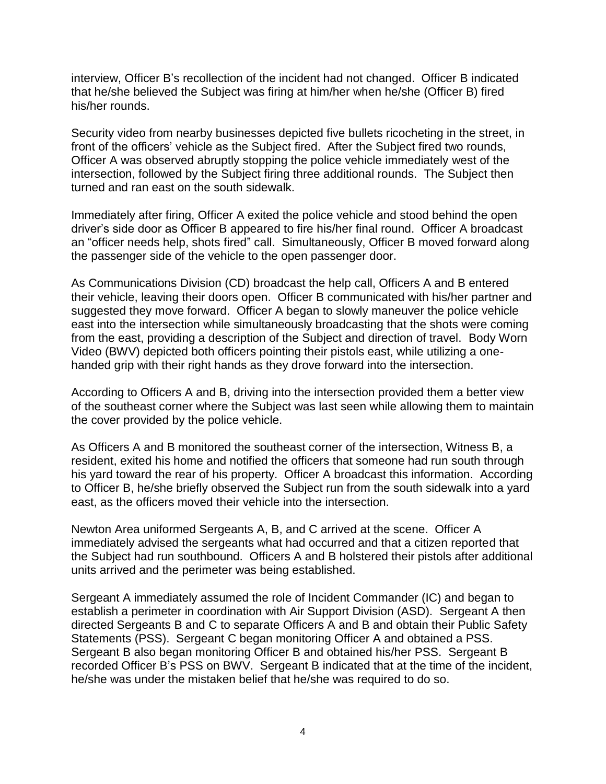interview, Officer B's recollection of the incident had not changed. Officer B indicated that he/she believed the Subject was firing at him/her when he/she (Officer B) fired his/her rounds.

Security video from nearby businesses depicted five bullets ricocheting in the street, in front of the officers' vehicle as the Subject fired. After the Subject fired two rounds, Officer A was observed abruptly stopping the police vehicle immediately west of the intersection, followed by the Subject firing three additional rounds. The Subject then turned and ran east on the south sidewalk.

Immediately after firing, Officer A exited the police vehicle and stood behind the open driver's side door as Officer B appeared to fire his/her final round. Officer A broadcast an "officer needs help, shots fired" call. Simultaneously, Officer B moved forward along the passenger side of the vehicle to the open passenger door.

As Communications Division (CD) broadcast the help call, Officers A and B entered their vehicle, leaving their doors open. Officer B communicated with his/her partner and suggested they move forward. Officer A began to slowly maneuver the police vehicle east into the intersection while simultaneously broadcasting that the shots were coming from the east, providing a description of the Subject and direction of travel. Body Worn Video (BWV) depicted both officers pointing their pistols east, while utilizing a onehanded grip with their right hands as they drove forward into the intersection.

According to Officers A and B, driving into the intersection provided them a better view of the southeast corner where the Subject was last seen while allowing them to maintain the cover provided by the police vehicle.

As Officers A and B monitored the southeast corner of the intersection, Witness B, a resident, exited his home and notified the officers that someone had run south through his yard toward the rear of his property. Officer A broadcast this information. According to Officer B, he/she briefly observed the Subject run from the south sidewalk into a yard east, as the officers moved their vehicle into the intersection.

Newton Area uniformed Sergeants A, B, and C arrived at the scene. Officer A immediately advised the sergeants what had occurred and that a citizen reported that the Subject had run southbound. Officers A and B holstered their pistols after additional units arrived and the perimeter was being established.

Sergeant A immediately assumed the role of Incident Commander (IC) and began to establish a perimeter in coordination with Air Support Division (ASD). Sergeant A then directed Sergeants B and C to separate Officers A and B and obtain their Public Safety Statements (PSS). Sergeant C began monitoring Officer A and obtained a PSS. Sergeant B also began monitoring Officer B and obtained his/her PSS. Sergeant B recorded Officer B's PSS on BWV. Sergeant B indicated that at the time of the incident, he/she was under the mistaken belief that he/she was required to do so.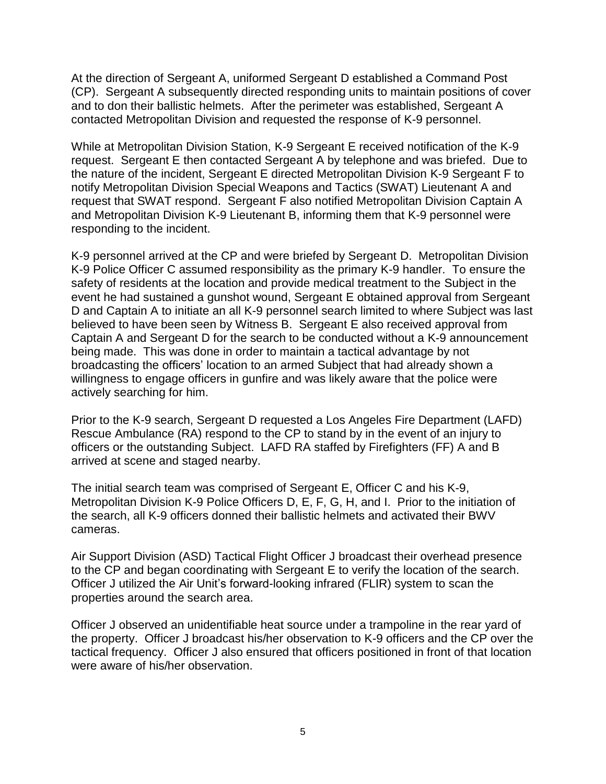At the direction of Sergeant A, uniformed Sergeant D established a Command Post (CP). Sergeant A subsequently directed responding units to maintain positions of cover and to don their ballistic helmets. After the perimeter was established, Sergeant A contacted Metropolitan Division and requested the response of K-9 personnel.

While at Metropolitan Division Station, K-9 Sergeant E received notification of the K-9 request. Sergeant E then contacted Sergeant A by telephone and was briefed. Due to the nature of the incident, Sergeant E directed Metropolitan Division K-9 Sergeant F to notify Metropolitan Division Special Weapons and Tactics (SWAT) Lieutenant A and request that SWAT respond. Sergeant F also notified Metropolitan Division Captain A and Metropolitan Division K-9 Lieutenant B, informing them that K-9 personnel were responding to the incident.

K-9 personnel arrived at the CP and were briefed by Sergeant D. Metropolitan Division K-9 Police Officer C assumed responsibility as the primary K-9 handler. To ensure the safety of residents at the location and provide medical treatment to the Subject in the event he had sustained a gunshot wound, Sergeant E obtained approval from Sergeant D and Captain A to initiate an all K-9 personnel search limited to where Subject was last believed to have been seen by Witness B. Sergeant E also received approval from Captain A and Sergeant D for the search to be conducted without a K-9 announcement being made. This was done in order to maintain a tactical advantage by not broadcasting the officers' location to an armed Subject that had already shown a willingness to engage officers in gunfire and was likely aware that the police were actively searching for him.

Prior to the K-9 search, Sergeant D requested a Los Angeles Fire Department (LAFD) Rescue Ambulance (RA) respond to the CP to stand by in the event of an injury to officers or the outstanding Subject. LAFD RA staffed by Firefighters (FF) A and B arrived at scene and staged nearby.

The initial search team was comprised of Sergeant E, Officer C and his K-9, Metropolitan Division K-9 Police Officers D, E, F, G, H, and I. Prior to the initiation of the search, all K-9 officers donned their ballistic helmets and activated their BWV cameras.

Air Support Division (ASD) Tactical Flight Officer J broadcast their overhead presence to the CP and began coordinating with Sergeant E to verify the location of the search. Officer J utilized the Air Unit's forward-looking infrared (FLIR) system to scan the properties around the search area.

Officer J observed an unidentifiable heat source under a trampoline in the rear yard of the property. Officer J broadcast his/her observation to K-9 officers and the CP over the tactical frequency. Officer J also ensured that officers positioned in front of that location were aware of his/her observation.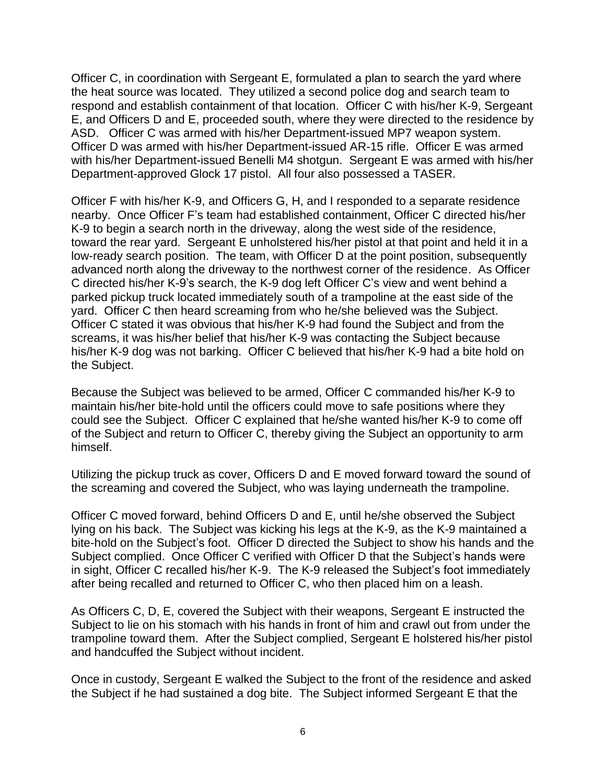Officer C, in coordination with Sergeant E, formulated a plan to search the yard where the heat source was located. They utilized a second police dog and search team to respond and establish containment of that location. Officer C with his/her K-9, Sergeant E, and Officers D and E, proceeded south, where they were directed to the residence by ASD. Officer C was armed with his/her Department-issued MP7 weapon system. Officer D was armed with his/her Department-issued AR-15 rifle. Officer E was armed with his/her Department-issued Benelli M4 shotgun. Sergeant E was armed with his/her Department-approved Glock 17 pistol. All four also possessed a TASER.

Officer F with his/her K-9, and Officers G, H, and I responded to a separate residence nearby. Once Officer F's team had established containment, Officer C directed his/her K-9 to begin a search north in the driveway, along the west side of the residence, toward the rear yard. Sergeant E unholstered his/her pistol at that point and held it in a low-ready search position. The team, with Officer D at the point position, subsequently advanced north along the driveway to the northwest corner of the residence. As Officer C directed his/her K-9's search, the K-9 dog left Officer C's view and went behind a parked pickup truck located immediately south of a trampoline at the east side of the yard. Officer C then heard screaming from who he/she believed was the Subject. Officer C stated it was obvious that his/her K-9 had found the Subject and from the screams, it was his/her belief that his/her K-9 was contacting the Subject because his/her K-9 dog was not barking. Officer C believed that his/her K-9 had a bite hold on the Subject.

Because the Subject was believed to be armed, Officer C commanded his/her K-9 to maintain his/her bite-hold until the officers could move to safe positions where they could see the Subject. Officer C explained that he/she wanted his/her K-9 to come off of the Subject and return to Officer C, thereby giving the Subject an opportunity to arm himself.

Utilizing the pickup truck as cover, Officers D and E moved forward toward the sound of the screaming and covered the Subject, who was laying underneath the trampoline.

Officer C moved forward, behind Officers D and E, until he/she observed the Subject lying on his back. The Subject was kicking his legs at the K-9, as the K-9 maintained a bite-hold on the Subject's foot. Officer D directed the Subject to show his hands and the Subject complied. Once Officer C verified with Officer D that the Subject's hands were in sight, Officer C recalled his/her K-9. The K-9 released the Subject's foot immediately after being recalled and returned to Officer C, who then placed him on a leash.

As Officers C, D, E, covered the Subject with their weapons, Sergeant E instructed the Subject to lie on his stomach with his hands in front of him and crawl out from under the trampoline toward them. After the Subject complied, Sergeant E holstered his/her pistol and handcuffed the Subject without incident.

Once in custody, Sergeant E walked the Subject to the front of the residence and asked the Subject if he had sustained a dog bite. The Subject informed Sergeant E that the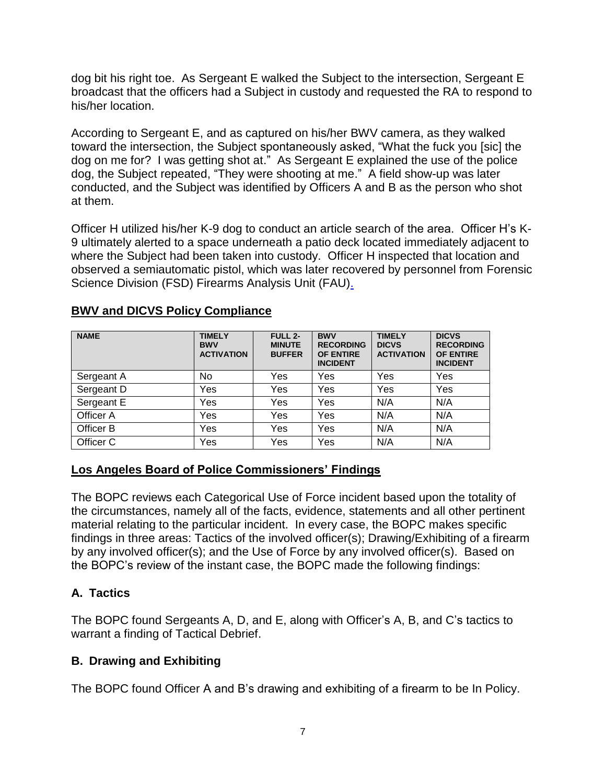dog bit his right toe. As Sergeant E walked the Subject to the intersection, Sergeant E broadcast that the officers had a Subject in custody and requested the RA to respond to his/her location.

According to Sergeant E, and as captured on his/her BWV camera, as they walked toward the intersection, the Subject spontaneously asked, "What the fuck you [sic] the dog on me for? I was getting shot at." As Sergeant E explained the use of the police dog, the Subject repeated, "They were shooting at me." A field show-up was later conducted, and the Subject was identified by Officers A and B as the person who shot at them.

Officer H utilized his/her K-9 dog to conduct an article search of the area. Officer H's K-9 ultimately alerted to a space underneath a patio deck located immediately adjacent to where the Subject had been taken into custody. Officer H inspected that location and observed a semiautomatic pistol, which was later recovered by personnel from Forensic Science Division (FSD) Firearms Analysis Unit (FAU).

| <b>NAME</b> | <b>TIMELY</b><br><b>BWV</b><br><b>ACTIVATION</b> | <b>FULL 2-</b><br><b>MINUTE</b><br><b>BUFFER</b> | <b>BWV</b><br><b>RECORDING</b><br><b>OF ENTIRE</b><br><b>INCIDENT</b> | <b>TIMELY</b><br><b>DICVS</b><br><b>ACTIVATION</b> | <b>DICVS</b><br><b>RECORDING</b><br><b>OF ENTIRE</b><br><b>INCIDENT</b> |
|-------------|--------------------------------------------------|--------------------------------------------------|-----------------------------------------------------------------------|----------------------------------------------------|-------------------------------------------------------------------------|
| Sergeant A  | No                                               | Yes                                              | Yes                                                                   | Yes                                                | Yes                                                                     |
| Sergeant D  | Yes                                              | Yes                                              | Yes                                                                   | Yes                                                | Yes                                                                     |
| Sergeant E  | Yes                                              | Yes                                              | Yes                                                                   | N/A                                                | N/A                                                                     |
| Officer A   | Yes                                              | Yes                                              | Yes                                                                   | N/A                                                | N/A                                                                     |
| Officer B   | Yes                                              | Yes                                              | Yes                                                                   | N/A                                                | N/A                                                                     |
| Officer C   | Yes                                              | Yes                                              | Yes                                                                   | N/A                                                | N/A                                                                     |

### **BWV and DICVS Policy Compliance**

## **Los Angeles Board of Police Commissioners' Findings**

The BOPC reviews each Categorical Use of Force incident based upon the totality of the circumstances, namely all of the facts, evidence, statements and all other pertinent material relating to the particular incident. In every case, the BOPC makes specific findings in three areas: Tactics of the involved officer(s); Drawing/Exhibiting of a firearm by any involved officer(s); and the Use of Force by any involved officer(s). Based on the BOPC's review of the instant case, the BOPC made the following findings:

# **A. Tactics**

The BOPC found Sergeants A, D, and E, along with Officer's A, B, and C's tactics to warrant a finding of Tactical Debrief.

# **B. Drawing and Exhibiting**

The BOPC found Officer A and B's drawing and exhibiting of a firearm to be In Policy.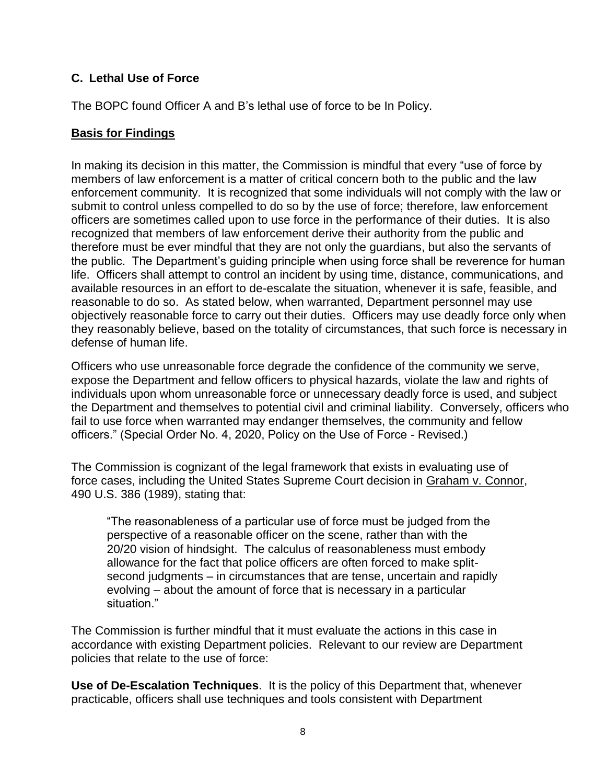## **C. Lethal Use of Force**

The BOPC found Officer A and B's lethal use of force to be In Policy.

## **Basis for Findings**

In making its decision in this matter, the Commission is mindful that every "use of force by members of law enforcement is a matter of critical concern both to the public and the law enforcement community. It is recognized that some individuals will not comply with the law or submit to control unless compelled to do so by the use of force; therefore, law enforcement officers are sometimes called upon to use force in the performance of their duties. It is also recognized that members of law enforcement derive their authority from the public and therefore must be ever mindful that they are not only the guardians, but also the servants of the public. The Department's guiding principle when using force shall be reverence for human life. Officers shall attempt to control an incident by using time, distance, communications, and available resources in an effort to de-escalate the situation, whenever it is safe, feasible, and reasonable to do so. As stated below, when warranted, Department personnel may use objectively reasonable force to carry out their duties. Officers may use deadly force only when they reasonably believe, based on the totality of circumstances, that such force is necessary in defense of human life.

Officers who use unreasonable force degrade the confidence of the community we serve, expose the Department and fellow officers to physical hazards, violate the law and rights of individuals upon whom unreasonable force or unnecessary deadly force is used, and subject the Department and themselves to potential civil and criminal liability. Conversely, officers who fail to use force when warranted may endanger themselves, the community and fellow officers." (Special Order No. 4, 2020, Policy on the Use of Force - Revised.)

The Commission is cognizant of the legal framework that exists in evaluating use of force cases, including the United States Supreme Court decision in Graham v. Connor, 490 U.S. 386 (1989), stating that:

"The reasonableness of a particular use of force must be judged from the perspective of a reasonable officer on the scene, rather than with the 20/20 vision of hindsight. The calculus of reasonableness must embody allowance for the fact that police officers are often forced to make splitsecond judgments – in circumstances that are tense, uncertain and rapidly evolving – about the amount of force that is necessary in a particular situation."

The Commission is further mindful that it must evaluate the actions in this case in accordance with existing Department policies. Relevant to our review are Department policies that relate to the use of force:

**Use of De-Escalation Techniques**. It is the policy of this Department that, whenever practicable, officers shall use techniques and tools consistent with Department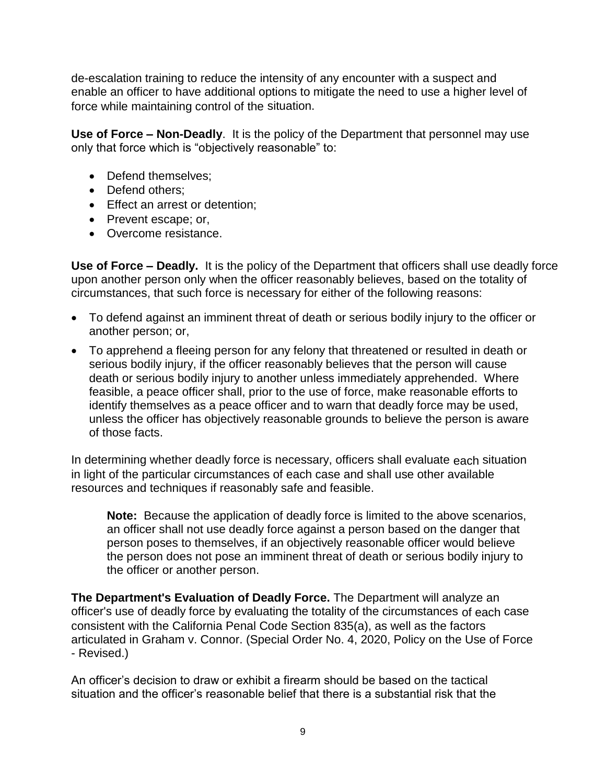de-escalation training to reduce the intensity of any encounter with a suspect and enable an officer to have additional options to mitigate the need to use a higher level of force while maintaining control of the situation.

**Use of Force – Non-Deadly**. It is the policy of the Department that personnel may use only that force which is "objectively reasonable" to:

- Defend themselves:
- Defend others:
- Effect an arrest or detention;
- Prevent escape; or,
- Overcome resistance.

**Use of Force – Deadly.** It is the policy of the Department that officers shall use deadly force upon another person only when the officer reasonably believes, based on the totality of circumstances, that such force is necessary for either of the following reasons:

- To defend against an imminent threat of death or serious bodily injury to the officer or another person; or,
- To apprehend a fleeing person for any felony that threatened or resulted in death or serious bodily injury, if the officer reasonably believes that the person will cause death or serious bodily injury to another unless immediately apprehended. Where feasible, a peace officer shall, prior to the use of force, make reasonable efforts to identify themselves as a peace officer and to warn that deadly force may be used, unless the officer has objectively reasonable grounds to believe the person is aware of those facts.

In determining whether deadly force is necessary, officers shall evaluate each situation in light of the particular circumstances of each case and shall use other available resources and techniques if reasonably safe and feasible.

**Note:** Because the application of deadly force is limited to the above scenarios, an officer shall not use deadly force against a person based on the danger that person poses to themselves, if an objectively reasonable officer would believe the person does not pose an imminent threat of death or serious bodily injury to the officer or another person.

**The Department's Evaluation of Deadly Force.** The Department will analyze an officer's use of deadly force by evaluating the totality of the circumstances of each case consistent with the California Penal Code Section 835(a), as well as the factors articulated in Graham v. Connor. (Special Order No. 4, 2020, Policy on the Use of Force - Revised.)

An officer's decision to draw or exhibit a firearm should be based on the tactical situation and the officer's reasonable belief that there is a substantial risk that the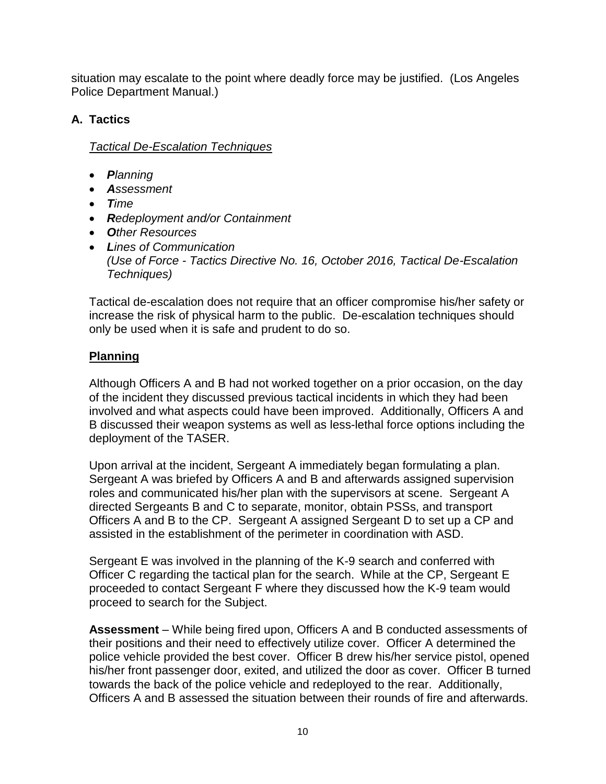situation may escalate to the point where deadly force may be justified. (Los Angeles Police Department Manual.)

# **A. Tactics**

*Tactical De-Escalation Techniques* 

- *Planning*
- *Assessment*
- *Time*
- *Redeployment and/or Containment*
- *Other Resources*
- *Lines of Communication (Use of Force - Tactics Directive No. 16, October 2016, Tactical De-Escalation Techniques)*

Tactical de-escalation does not require that an officer compromise his/her safety or increase the risk of physical harm to the public. De-escalation techniques should only be used when it is safe and prudent to do so.

# **Planning**

Although Officers A and B had not worked together on a prior occasion, on the day of the incident they discussed previous tactical incidents in which they had been involved and what aspects could have been improved. Additionally, Officers A and B discussed their weapon systems as well as less-lethal force options including the deployment of the TASER.

Upon arrival at the incident, Sergeant A immediately began formulating a plan. Sergeant A was briefed by Officers A and B and afterwards assigned supervision roles and communicated his/her plan with the supervisors at scene. Sergeant A directed Sergeants B and C to separate, monitor, obtain PSSs, and transport Officers A and B to the CP. Sergeant A assigned Sergeant D to set up a CP and assisted in the establishment of the perimeter in coordination with ASD.

Sergeant E was involved in the planning of the K-9 search and conferred with Officer C regarding the tactical plan for the search. While at the CP, Sergeant E proceeded to contact Sergeant F where they discussed how the K-9 team would proceed to search for the Subject.

**Assessment** – While being fired upon, Officers A and B conducted assessments of their positions and their need to effectively utilize cover. Officer A determined the police vehicle provided the best cover. Officer B drew his/her service pistol, opened his/her front passenger door, exited, and utilized the door as cover. Officer B turned towards the back of the police vehicle and redeployed to the rear. Additionally, Officers A and B assessed the situation between their rounds of fire and afterwards.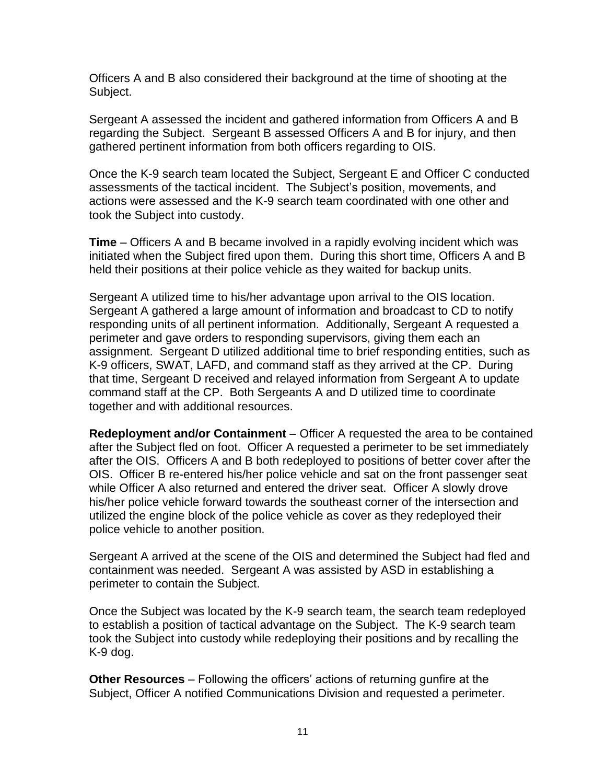Officers A and B also considered their background at the time of shooting at the Subject.

Sergeant A assessed the incident and gathered information from Officers A and B regarding the Subject. Sergeant B assessed Officers A and B for injury, and then gathered pertinent information from both officers regarding to OIS.

Once the K-9 search team located the Subject, Sergeant E and Officer C conducted assessments of the tactical incident. The Subject's position, movements, and actions were assessed and the K-9 search team coordinated with one other and took the Subject into custody.

**Time** – Officers A and B became involved in a rapidly evolving incident which was initiated when the Subject fired upon them. During this short time, Officers A and B held their positions at their police vehicle as they waited for backup units.

Sergeant A utilized time to his/her advantage upon arrival to the OIS location. Sergeant A gathered a large amount of information and broadcast to CD to notify responding units of all pertinent information. Additionally, Sergeant A requested a perimeter and gave orders to responding supervisors, giving them each an assignment. Sergeant D utilized additional time to brief responding entities, such as K-9 officers, SWAT, LAFD, and command staff as they arrived at the CP. During that time, Sergeant D received and relayed information from Sergeant A to update command staff at the CP. Both Sergeants A and D utilized time to coordinate together and with additional resources.

**Redeployment and/or Containment** – Officer A requested the area to be contained after the Subject fled on foot. Officer A requested a perimeter to be set immediately after the OIS. Officers A and B both redeployed to positions of better cover after the OIS. Officer B re-entered his/her police vehicle and sat on the front passenger seat while Officer A also returned and entered the driver seat. Officer A slowly drove his/her police vehicle forward towards the southeast corner of the intersection and utilized the engine block of the police vehicle as cover as they redeployed their police vehicle to another position.

Sergeant A arrived at the scene of the OIS and determined the Subject had fled and containment was needed. Sergeant A was assisted by ASD in establishing a perimeter to contain the Subject.

Once the Subject was located by the K-9 search team, the search team redeployed to establish a position of tactical advantage on the Subject. The K-9 search team took the Subject into custody while redeploying their positions and by recalling the K-9 dog.

**Other Resources** – Following the officers' actions of returning gunfire at the Subject, Officer A notified Communications Division and requested a perimeter.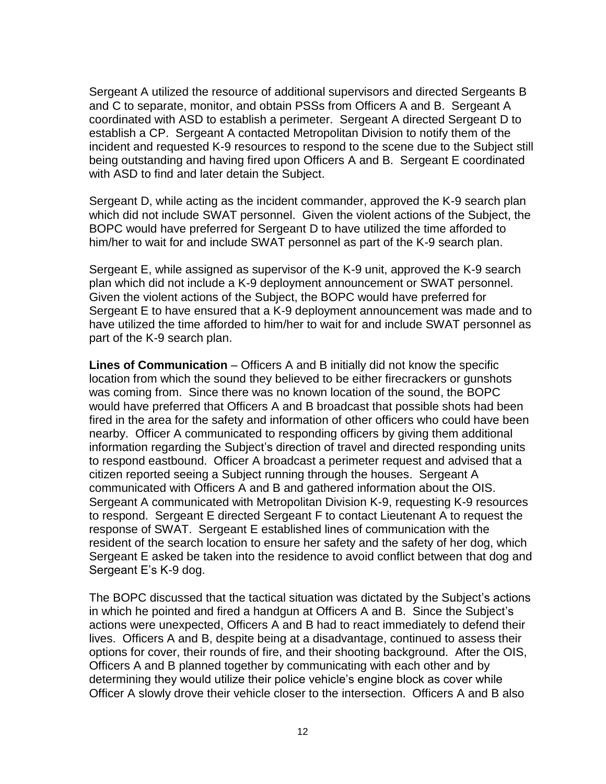Sergeant A utilized the resource of additional supervisors and directed Sergeants B and C to separate, monitor, and obtain PSSs from Officers A and B. Sergeant A coordinated with ASD to establish a perimeter. Sergeant A directed Sergeant D to establish a CP. Sergeant A contacted Metropolitan Division to notify them of the incident and requested K-9 resources to respond to the scene due to the Subject still being outstanding and having fired upon Officers A and B. Sergeant E coordinated with ASD to find and later detain the Subject.

Sergeant D, while acting as the incident commander, approved the K-9 search plan which did not include SWAT personnel. Given the violent actions of the Subject, the BOPC would have preferred for Sergeant D to have utilized the time afforded to him/her to wait for and include SWAT personnel as part of the K-9 search plan.

Sergeant E, while assigned as supervisor of the K-9 unit, approved the K-9 search plan which did not include a K-9 deployment announcement or SWAT personnel. Given the violent actions of the Subject, the BOPC would have preferred for Sergeant E to have ensured that a K-9 deployment announcement was made and to have utilized the time afforded to him/her to wait for and include SWAT personnel as part of the K-9 search plan.

**Lines of Communication** – Officers A and B initially did not know the specific location from which the sound they believed to be either firecrackers or gunshots was coming from. Since there was no known location of the sound, the BOPC would have preferred that Officers A and B broadcast that possible shots had been fired in the area for the safety and information of other officers who could have been nearby. Officer A communicated to responding officers by giving them additional information regarding the Subject's direction of travel and directed responding units to respond eastbound. Officer A broadcast a perimeter request and advised that a citizen reported seeing a Subject running through the houses. Sergeant A communicated with Officers A and B and gathered information about the OIS. Sergeant A communicated with Metropolitan Division K-9, requesting K-9 resources to respond. Sergeant E directed Sergeant F to contact Lieutenant A to request the response of SWAT. Sergeant E established lines of communication with the resident of the search location to ensure her safety and the safety of her dog, which Sergeant E asked be taken into the residence to avoid conflict between that dog and Sergeant E's K-9 dog.

The BOPC discussed that the tactical situation was dictated by the Subject's actions in which he pointed and fired a handgun at Officers A and B. Since the Subject's actions were unexpected, Officers A and B had to react immediately to defend their lives. Officers A and B, despite being at a disadvantage, continued to assess their options for cover, their rounds of fire, and their shooting background. After the OIS, Officers A and B planned together by communicating with each other and by determining they would utilize their police vehicle's engine block as cover while Officer A slowly drove their vehicle closer to the intersection. Officers A and B also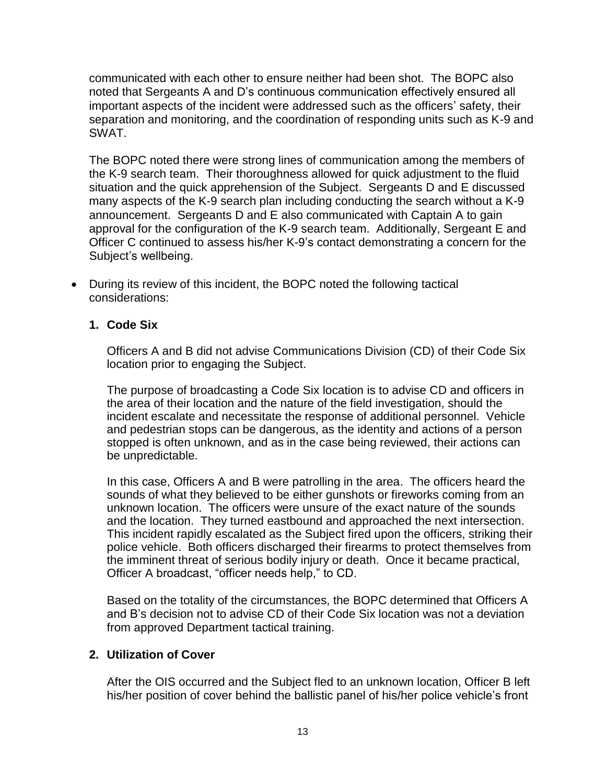communicated with each other to ensure neither had been shot. The BOPC also noted that Sergeants A and D's continuous communication effectively ensured all important aspects of the incident were addressed such as the officers' safety, their separation and monitoring, and the coordination of responding units such as K-9 and SWAT.

The BOPC noted there were strong lines of communication among the members of the K-9 search team. Their thoroughness allowed for quick adjustment to the fluid situation and the quick apprehension of the Subject. Sergeants D and E discussed many aspects of the K-9 search plan including conducting the search without a K-9 announcement. Sergeants D and E also communicated with Captain A to gain approval for the configuration of the K-9 search team. Additionally, Sergeant E and Officer C continued to assess his/her K-9's contact demonstrating a concern for the Subject's wellbeing.

• During its review of this incident, the BOPC noted the following tactical considerations:

### **1. Code Six**

Officers A and B did not advise Communications Division (CD) of their Code Six location prior to engaging the Subject.

The purpose of broadcasting a Code Six location is to advise CD and officers in the area of their location and the nature of the field investigation, should the incident escalate and necessitate the response of additional personnel. Vehicle and pedestrian stops can be dangerous, as the identity and actions of a person stopped is often unknown, and as in the case being reviewed, their actions can be unpredictable.

In this case, Officers A and B were patrolling in the area. The officers heard the sounds of what they believed to be either gunshots or fireworks coming from an unknown location. The officers were unsure of the exact nature of the sounds and the location. They turned eastbound and approached the next intersection. This incident rapidly escalated as the Subject fired upon the officers, striking their police vehicle. Both officers discharged their firearms to protect themselves from the imminent threat of serious bodily injury or death. Once it became practical, Officer A broadcast, "officer needs help," to CD.

Based on the totality of the circumstances, the BOPC determined that Officers A and B's decision not to advise CD of their Code Six location was not a deviation from approved Department tactical training.

#### **2. Utilization of Cover**

After the OIS occurred and the Subject fled to an unknown location, Officer B left his/her position of cover behind the ballistic panel of his/her police vehicle's front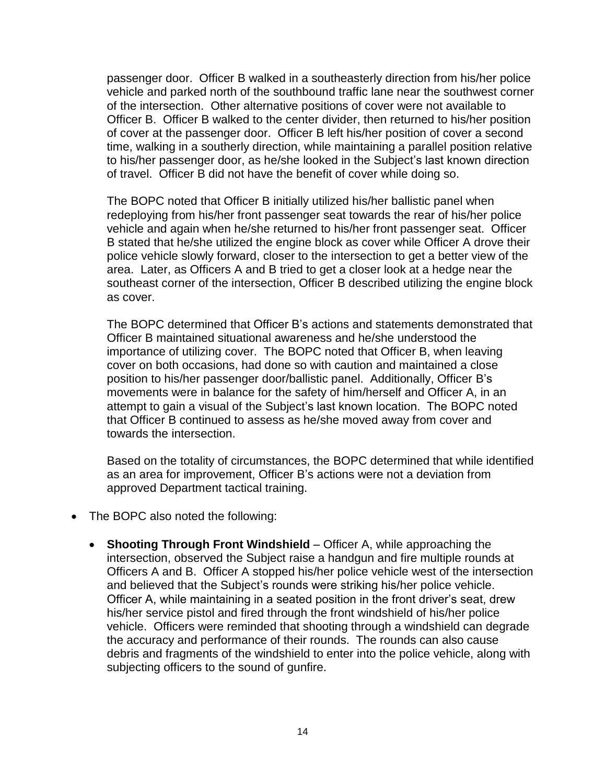passenger door. Officer B walked in a southeasterly direction from his/her police vehicle and parked north of the southbound traffic lane near the southwest corner of the intersection. Other alternative positions of cover were not available to Officer B. Officer B walked to the center divider, then returned to his/her position of cover at the passenger door. Officer B left his/her position of cover a second time, walking in a southerly direction, while maintaining a parallel position relative to his/her passenger door, as he/she looked in the Subject's last known direction of travel. Officer B did not have the benefit of cover while doing so.

The BOPC noted that Officer B initially utilized his/her ballistic panel when redeploying from his/her front passenger seat towards the rear of his/her police vehicle and again when he/she returned to his/her front passenger seat. Officer B stated that he/she utilized the engine block as cover while Officer A drove their police vehicle slowly forward, closer to the intersection to get a better view of the area. Later, as Officers A and B tried to get a closer look at a hedge near the southeast corner of the intersection, Officer B described utilizing the engine block as cover.

The BOPC determined that Officer B's actions and statements demonstrated that Officer B maintained situational awareness and he/she understood the importance of utilizing cover. The BOPC noted that Officer B, when leaving cover on both occasions, had done so with caution and maintained a close position to his/her passenger door/ballistic panel. Additionally, Officer B's movements were in balance for the safety of him/herself and Officer A, in an attempt to gain a visual of the Subject's last known location. The BOPC noted that Officer B continued to assess as he/she moved away from cover and towards the intersection.

Based on the totality of circumstances, the BOPC determined that while identified as an area for improvement, Officer B's actions were not a deviation from approved Department tactical training.

- The BOPC also noted the following:
	- **Shooting Through Front Windshield** Officer A, while approaching the intersection, observed the Subject raise a handgun and fire multiple rounds at Officers A and B. Officer A stopped his/her police vehicle west of the intersection and believed that the Subject's rounds were striking his/her police vehicle. Officer A, while maintaining in a seated position in the front driver's seat, drew his/her service pistol and fired through the front windshield of his/her police vehicle. Officers were reminded that shooting through a windshield can degrade the accuracy and performance of their rounds. The rounds can also cause debris and fragments of the windshield to enter into the police vehicle, along with subjecting officers to the sound of gunfire.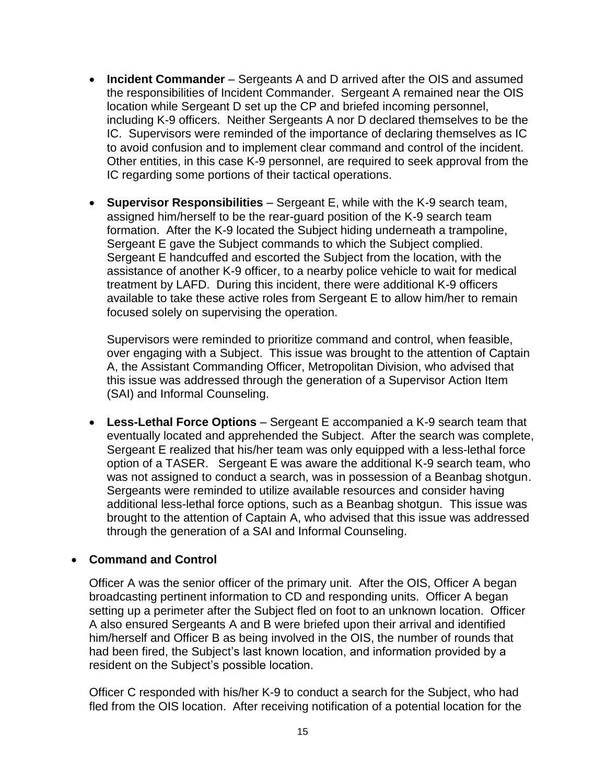- **Incident Commander** Sergeants A and D arrived after the OIS and assumed the responsibilities of Incident Commander. Sergeant A remained near the OIS location while Sergeant D set up the CP and briefed incoming personnel, including K-9 officers. Neither Sergeants A nor D declared themselves to be the IC. Supervisors were reminded of the importance of declaring themselves as IC to avoid confusion and to implement clear command and control of the incident. Other entities, in this case K-9 personnel, are required to seek approval from the IC regarding some portions of their tactical operations.
- **Supervisor Responsibilities** Sergeant E, while with the K-9 search team, assigned him/herself to be the rear-guard position of the K-9 search team formation. After the K-9 located the Subject hiding underneath a trampoline, Sergeant E gave the Subject commands to which the Subject complied. Sergeant E handcuffed and escorted the Subject from the location, with the assistance of another K-9 officer, to a nearby police vehicle to wait for medical treatment by LAFD. During this incident, there were additional K-9 officers available to take these active roles from Sergeant E to allow him/her to remain focused solely on supervising the operation.

Supervisors were reminded to prioritize command and control, when feasible, over engaging with a Subject. This issue was brought to the attention of Captain A, the Assistant Commanding Officer, Metropolitan Division, who advised that this issue was addressed through the generation of a Supervisor Action Item (SAI) and Informal Counseling.

• **Less-Lethal Force Options** – Sergeant E accompanied a K-9 search team that eventually located and apprehended the Subject. After the search was complete, Sergeant E realized that his/her team was only equipped with a less-lethal force option of a TASER. Sergeant E was aware the additional K-9 search team, who was not assigned to conduct a search, was in possession of a Beanbag shotgun. Sergeants were reminded to utilize available resources and consider having additional less-lethal force options, such as a Beanbag shotgun. This issue was brought to the attention of Captain A, who advised that this issue was addressed through the generation of a SAI and Informal Counseling.

#### • **Command and Control**

Officer A was the senior officer of the primary unit. After the OIS, Officer A began broadcasting pertinent information to CD and responding units. Officer A began setting up a perimeter after the Subject fled on foot to an unknown location. Officer A also ensured Sergeants A and B were briefed upon their arrival and identified him/herself and Officer B as being involved in the OIS, the number of rounds that had been fired, the Subject's last known location, and information provided by a resident on the Subject's possible location.

Officer C responded with his/her K-9 to conduct a search for the Subject, who had fled from the OIS location. After receiving notification of a potential location for the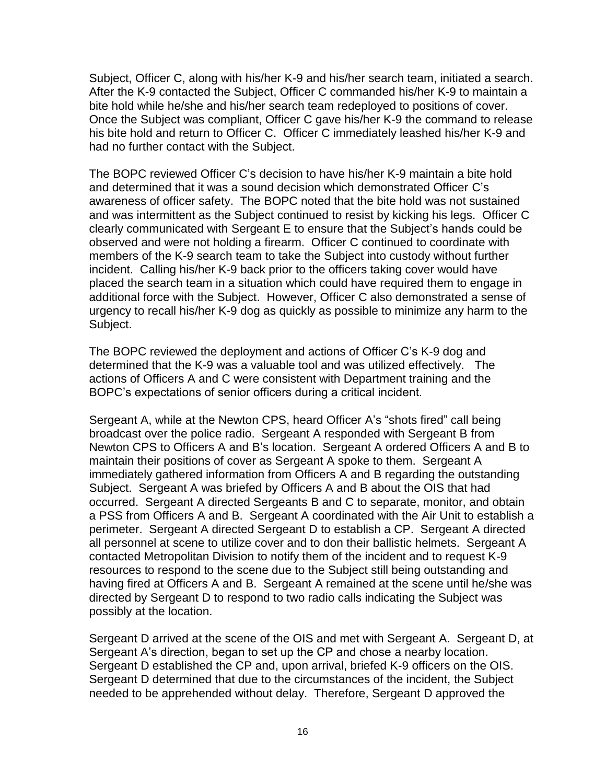Subject, Officer C, along with his/her K-9 and his/her search team, initiated a search. After the K-9 contacted the Subject, Officer C commanded his/her K-9 to maintain a bite hold while he/she and his/her search team redeployed to positions of cover. Once the Subject was compliant, Officer C gave his/her K-9 the command to release his bite hold and return to Officer C. Officer C immediately leashed his/her K-9 and had no further contact with the Subject.

The BOPC reviewed Officer C's decision to have his/her K-9 maintain a bite hold and determined that it was a sound decision which demonstrated Officer C's awareness of officer safety. The BOPC noted that the bite hold was not sustained and was intermittent as the Subject continued to resist by kicking his legs. Officer C clearly communicated with Sergeant E to ensure that the Subject's hands could be observed and were not holding a firearm. Officer C continued to coordinate with members of the K-9 search team to take the Subject into custody without further incident. Calling his/her K-9 back prior to the officers taking cover would have placed the search team in a situation which could have required them to engage in additional force with the Subject. However, Officer C also demonstrated a sense of urgency to recall his/her K-9 dog as quickly as possible to minimize any harm to the Subject.

The BOPC reviewed the deployment and actions of Officer C's K-9 dog and determined that the K-9 was a valuable tool and was utilized effectively. The actions of Officers A and C were consistent with Department training and the BOPC's expectations of senior officers during a critical incident.

Sergeant A, while at the Newton CPS, heard Officer A's "shots fired" call being broadcast over the police radio. Sergeant A responded with Sergeant B from Newton CPS to Officers A and B's location. Sergeant A ordered Officers A and B to maintain their positions of cover as Sergeant A spoke to them. Sergeant A immediately gathered information from Officers A and B regarding the outstanding Subject. Sergeant A was briefed by Officers A and B about the OIS that had occurred. Sergeant A directed Sergeants B and C to separate, monitor, and obtain a PSS from Officers A and B. Sergeant A coordinated with the Air Unit to establish a perimeter. Sergeant A directed Sergeant D to establish a CP. Sergeant A directed all personnel at scene to utilize cover and to don their ballistic helmets. Sergeant A contacted Metropolitan Division to notify them of the incident and to request K-9 resources to respond to the scene due to the Subject still being outstanding and having fired at Officers A and B. Sergeant A remained at the scene until he/she was directed by Sergeant D to respond to two radio calls indicating the Subject was possibly at the location.

Sergeant D arrived at the scene of the OIS and met with Sergeant A. Sergeant D, at Sergeant A's direction, began to set up the CP and chose a nearby location. Sergeant D established the CP and, upon arrival, briefed K-9 officers on the OIS. Sergeant D determined that due to the circumstances of the incident, the Subject needed to be apprehended without delay. Therefore, Sergeant D approved the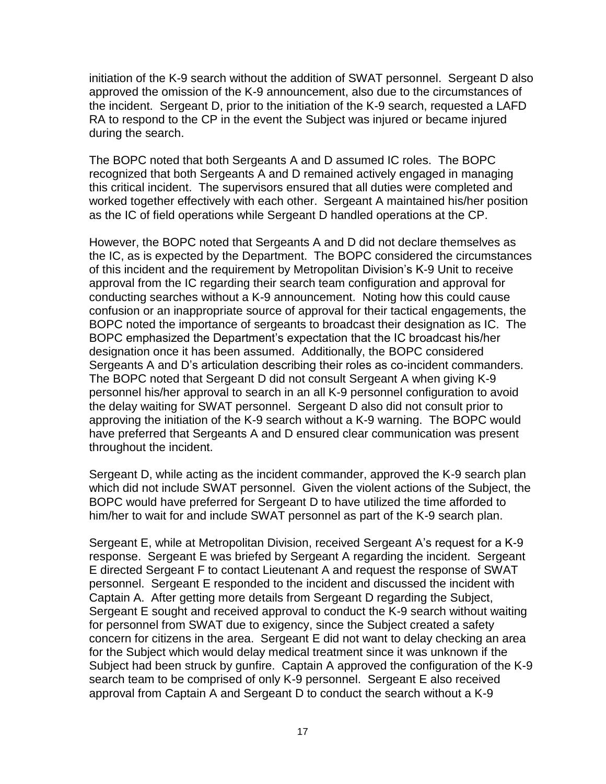initiation of the K-9 search without the addition of SWAT personnel. Sergeant D also approved the omission of the K-9 announcement, also due to the circumstances of the incident. Sergeant D, prior to the initiation of the K-9 search, requested a LAFD RA to respond to the CP in the event the Subject was injured or became injured during the search.

The BOPC noted that both Sergeants A and D assumed IC roles. The BOPC recognized that both Sergeants A and D remained actively engaged in managing this critical incident. The supervisors ensured that all duties were completed and worked together effectively with each other. Sergeant A maintained his/her position as the IC of field operations while Sergeant D handled operations at the CP.

However, the BOPC noted that Sergeants A and D did not declare themselves as the IC, as is expected by the Department. The BOPC considered the circumstances of this incident and the requirement by Metropolitan Division's K-9 Unit to receive approval from the IC regarding their search team configuration and approval for conducting searches without a K-9 announcement. Noting how this could cause confusion or an inappropriate source of approval for their tactical engagements, the BOPC noted the importance of sergeants to broadcast their designation as IC. The BOPC emphasized the Department's expectation that the IC broadcast his/her designation once it has been assumed. Additionally, the BOPC considered Sergeants A and D's articulation describing their roles as co-incident commanders. The BOPC noted that Sergeant D did not consult Sergeant A when giving K-9 personnel his/her approval to search in an all K-9 personnel configuration to avoid the delay waiting for SWAT personnel. Sergeant D also did not consult prior to approving the initiation of the K-9 search without a K-9 warning. The BOPC would have preferred that Sergeants A and D ensured clear communication was present throughout the incident.

Sergeant D, while acting as the incident commander, approved the K-9 search plan which did not include SWAT personnel. Given the violent actions of the Subject, the BOPC would have preferred for Sergeant D to have utilized the time afforded to him/her to wait for and include SWAT personnel as part of the K-9 search plan.

Sergeant E, while at Metropolitan Division, received Sergeant A's request for a K-9 response. Sergeant E was briefed by Sergeant A regarding the incident. Sergeant E directed Sergeant F to contact Lieutenant A and request the response of SWAT personnel. Sergeant E responded to the incident and discussed the incident with Captain A. After getting more details from Sergeant D regarding the Subject, Sergeant E sought and received approval to conduct the K-9 search without waiting for personnel from SWAT due to exigency, since the Subject created a safety concern for citizens in the area. Sergeant E did not want to delay checking an area for the Subject which would delay medical treatment since it was unknown if the Subject had been struck by gunfire. Captain A approved the configuration of the K-9 search team to be comprised of only K-9 personnel. Sergeant E also received approval from Captain A and Sergeant D to conduct the search without a K-9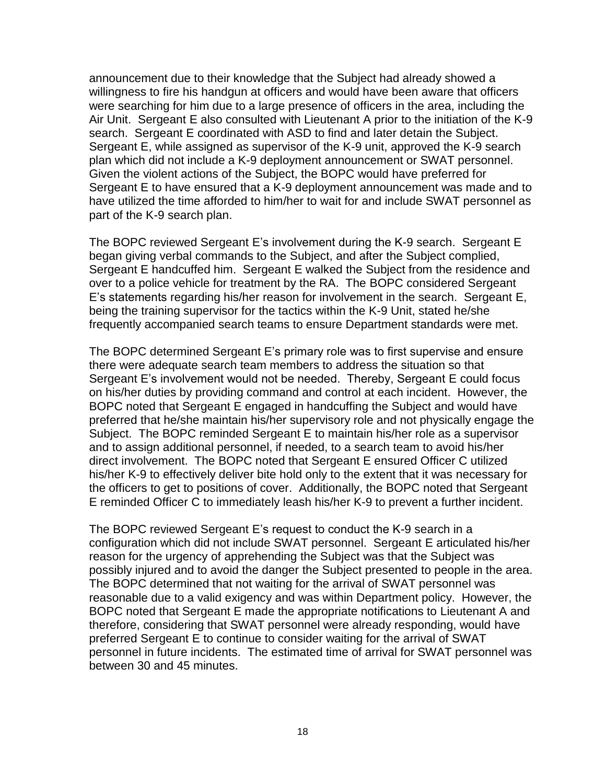announcement due to their knowledge that the Subject had already showed a willingness to fire his handgun at officers and would have been aware that officers were searching for him due to a large presence of officers in the area, including the Air Unit. Sergeant E also consulted with Lieutenant A prior to the initiation of the K-9 search. Sergeant E coordinated with ASD to find and later detain the Subject. Sergeant E, while assigned as supervisor of the K-9 unit, approved the K-9 search plan which did not include a K-9 deployment announcement or SWAT personnel. Given the violent actions of the Subject, the BOPC would have preferred for Sergeant E to have ensured that a K-9 deployment announcement was made and to have utilized the time afforded to him/her to wait for and include SWAT personnel as part of the K-9 search plan.

The BOPC reviewed Sergeant E's involvement during the K-9 search. Sergeant E began giving verbal commands to the Subject, and after the Subject complied, Sergeant E handcuffed him. Sergeant E walked the Subject from the residence and over to a police vehicle for treatment by the RA. The BOPC considered Sergeant E's statements regarding his/her reason for involvement in the search. Sergeant E, being the training supervisor for the tactics within the K-9 Unit, stated he/she frequently accompanied search teams to ensure Department standards were met.

The BOPC determined Sergeant E's primary role was to first supervise and ensure there were adequate search team members to address the situation so that Sergeant E's involvement would not be needed. Thereby, Sergeant E could focus on his/her duties by providing command and control at each incident. However, the BOPC noted that Sergeant E engaged in handcuffing the Subject and would have preferred that he/she maintain his/her supervisory role and not physically engage the Subject. The BOPC reminded Sergeant E to maintain his/her role as a supervisor and to assign additional personnel, if needed, to a search team to avoid his/her direct involvement. The BOPC noted that Sergeant E ensured Officer C utilized his/her K-9 to effectively deliver bite hold only to the extent that it was necessary for the officers to get to positions of cover. Additionally, the BOPC noted that Sergeant E reminded Officer C to immediately leash his/her K-9 to prevent a further incident.

The BOPC reviewed Sergeant E's request to conduct the K-9 search in a configuration which did not include SWAT personnel. Sergeant E articulated his/her reason for the urgency of apprehending the Subject was that the Subject was possibly injured and to avoid the danger the Subject presented to people in the area. The BOPC determined that not waiting for the arrival of SWAT personnel was reasonable due to a valid exigency and was within Department policy. However, the BOPC noted that Sergeant E made the appropriate notifications to Lieutenant A and therefore, considering that SWAT personnel were already responding, would have preferred Sergeant E to continue to consider waiting for the arrival of SWAT personnel in future incidents. The estimated time of arrival for SWAT personnel was between 30 and 45 minutes.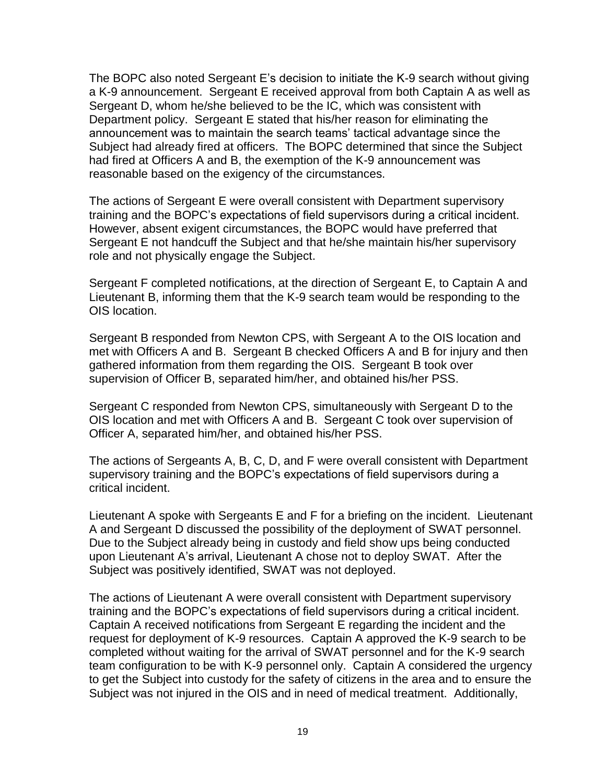The BOPC also noted Sergeant E's decision to initiate the K-9 search without giving a K-9 announcement. Sergeant E received approval from both Captain A as well as Sergeant D, whom he/she believed to be the IC, which was consistent with Department policy. Sergeant E stated that his/her reason for eliminating the announcement was to maintain the search teams' tactical advantage since the Subject had already fired at officers. The BOPC determined that since the Subject had fired at Officers A and B, the exemption of the K-9 announcement was reasonable based on the exigency of the circumstances.

The actions of Sergeant E were overall consistent with Department supervisory training and the BOPC's expectations of field supervisors during a critical incident. However, absent exigent circumstances, the BOPC would have preferred that Sergeant E not handcuff the Subject and that he/she maintain his/her supervisory role and not physically engage the Subject.

Sergeant F completed notifications, at the direction of Sergeant E, to Captain A and Lieutenant B, informing them that the K-9 search team would be responding to the OIS location.

Sergeant B responded from Newton CPS, with Sergeant A to the OIS location and met with Officers A and B. Sergeant B checked Officers A and B for injury and then gathered information from them regarding the OIS. Sergeant B took over supervision of Officer B, separated him/her, and obtained his/her PSS.

Sergeant C responded from Newton CPS, simultaneously with Sergeant D to the OIS location and met with Officers A and B. Sergeant C took over supervision of Officer A, separated him/her, and obtained his/her PSS.

The actions of Sergeants A, B, C, D, and F were overall consistent with Department supervisory training and the BOPC's expectations of field supervisors during a critical incident.

Lieutenant A spoke with Sergeants E and F for a briefing on the incident.Lieutenant A and Sergeant D discussed the possibility of the deployment of SWAT personnel. Due to the Subject already being in custody and field show ups being conducted upon Lieutenant A's arrival, Lieutenant A chose not to deploy SWAT. After the Subject was positively identified, SWAT was not deployed.

The actions of Lieutenant A were overall consistent with Department supervisory training and the BOPC's expectations of field supervisors during a critical incident. Captain A received notifications from Sergeant E regarding the incident and the request for deployment of K-9 resources. Captain A approved the K-9 search to be completed without waiting for the arrival of SWAT personnel and for the K-9 search team configuration to be with K-9 personnel only. Captain A considered the urgency to get the Subject into custody for the safety of citizens in the area and to ensure the Subject was not injured in the OIS and in need of medical treatment.Additionally,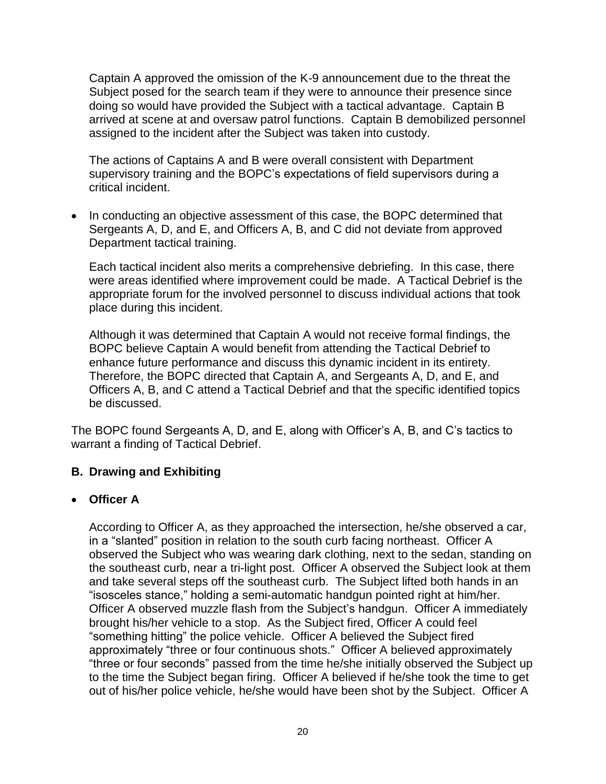Captain A approved the omission of the K-9 announcement due to the threat the Subject posed for the search team if they were to announce their presence since doing so would have provided the Subject with a tactical advantage. Captain B arrived at scene at and oversaw patrol functions. Captain B demobilized personnel assigned to the incident after the Subject was taken into custody.

The actions of Captains A and B were overall consistent with Department supervisory training and the BOPC's expectations of field supervisors during a critical incident.

• In conducting an objective assessment of this case, the BOPC determined that Sergeants A, D, and E, and Officers A, B, and C did not deviate from approved Department tactical training.

Each tactical incident also merits a comprehensive debriefing. In this case, there were areas identified where improvement could be made. A Tactical Debrief is the appropriate forum for the involved personnel to discuss individual actions that took place during this incident.

Although it was determined that Captain A would not receive formal findings, the BOPC believe Captain A would benefit from attending the Tactical Debrief to enhance future performance and discuss this dynamic incident in its entirety. Therefore, the BOPC directed that Captain A, and Sergeants A, D, and E, and Officers A, B, and C attend a Tactical Debrief and that the specific identified topics be discussed.

The BOPC found Sergeants A, D, and E, along with Officer's A, B, and C's tactics to warrant a finding of Tactical Debrief.

## **B. Drawing and Exhibiting**

## • **Officer A**

According to Officer A, as they approached the intersection, he/she observed a car, in a "slanted" position in relation to the south curb facing northeast. Officer A observed the Subject who was wearing dark clothing, next to the sedan, standing on the southeast curb, near a tri-light post. Officer A observed the Subject look at them and take several steps off the southeast curb. The Subject lifted both hands in an "isosceles stance," holding a semi-automatic handgun pointed right at him/her. Officer A observed muzzle flash from the Subject's handgun. Officer A immediately brought his/her vehicle to a stop. As the Subject fired, Officer A could feel "something hitting" the police vehicle. Officer A believed the Subject fired approximately "three or four continuous shots." Officer A believed approximately "three or four seconds" passed from the time he/she initially observed the Subject up to the time the Subject began firing. Officer A believed if he/she took the time to get out of his/her police vehicle, he/she would have been shot by the Subject. Officer A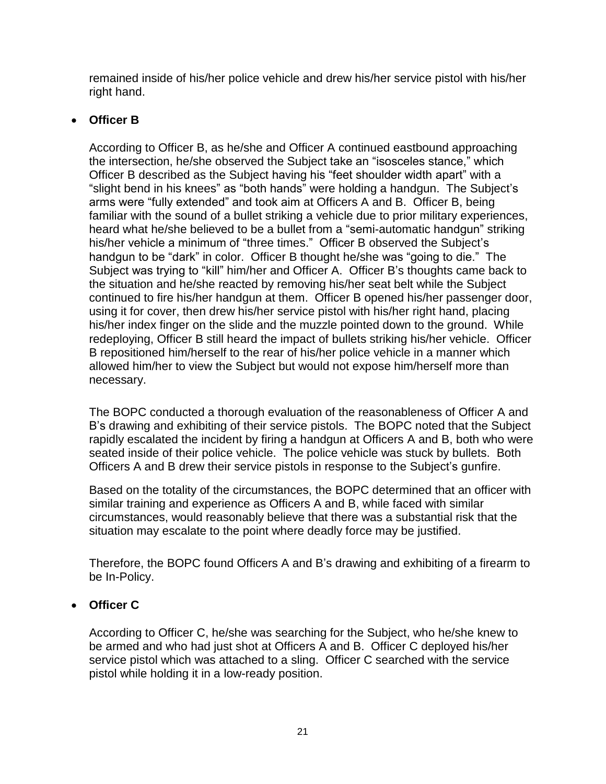remained inside of his/her police vehicle and drew his/her service pistol with his/her right hand.

# • **Officer B**

According to Officer B, as he/she and Officer A continued eastbound approaching the intersection, he/she observed the Subject take an "isosceles stance," which Officer B described as the Subject having his "feet shoulder width apart" with a "slight bend in his knees" as "both hands" were holding a handgun. The Subject's arms were "fully extended" and took aim at Officers A and B. Officer B, being familiar with the sound of a bullet striking a vehicle due to prior military experiences, heard what he/she believed to be a bullet from a "semi-automatic handgun" striking his/her vehicle a minimum of "three times." Officer B observed the Subject's handgun to be "dark" in color. Officer B thought he/she was "going to die." The Subject was trying to "kill" him/her and Officer A. Officer B's thoughts came back to the situation and he/she reacted by removing his/her seat belt while the Subject continued to fire his/her handgun at them. Officer B opened his/her passenger door, using it for cover, then drew his/her service pistol with his/her right hand, placing his/her index finger on the slide and the muzzle pointed down to the ground. While redeploying, Officer B still heard the impact of bullets striking his/her vehicle. Officer B repositioned him/herself to the rear of his/her police vehicle in a manner which allowed him/her to view the Subject but would not expose him/herself more than necessary.

The BOPC conducted a thorough evaluation of the reasonableness of Officer A and B's drawing and exhibiting of their service pistols. The BOPC noted that the Subject rapidly escalated the incident by firing a handgun at Officers A and B, both who were seated inside of their police vehicle. The police vehicle was stuck by bullets. Both Officers A and B drew their service pistols in response to the Subject's gunfire.

Based on the totality of the circumstances, the BOPC determined that an officer with similar training and experience as Officers A and B, while faced with similar circumstances, would reasonably believe that there was a substantial risk that the situation may escalate to the point where deadly force may be justified.

Therefore, the BOPC found Officers A and B's drawing and exhibiting of a firearm to be In-Policy.

# • **Officer C**

According to Officer C, he/she was searching for the Subject, who he/she knew to be armed and who had just shot at Officers A and B. Officer C deployed his/her service pistol which was attached to a sling. Officer C searched with the service pistol while holding it in a low-ready position.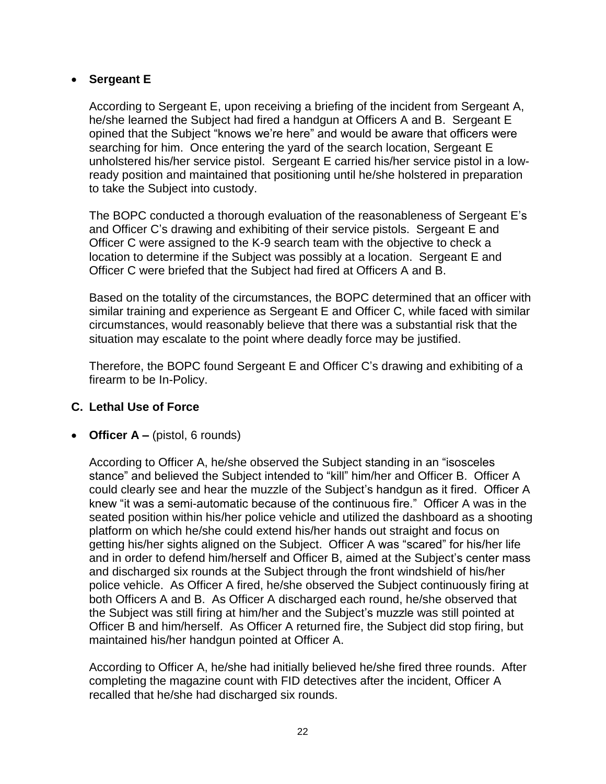## • **Sergeant E**

According to Sergeant E, upon receiving a briefing of the incident from Sergeant A, he/she learned the Subject had fired a handgun at Officers A and B. Sergeant E opined that the Subject "knows we're here" and would be aware that officers were searching for him. Once entering the yard of the search location, Sergeant E unholstered his/her service pistol. Sergeant E carried his/her service pistol in a lowready position and maintained that positioning until he/she holstered in preparation to take the Subject into custody.

The BOPC conducted a thorough evaluation of the reasonableness of Sergeant E's and Officer C's drawing and exhibiting of their service pistols. Sergeant E and Officer C were assigned to the K-9 search team with the objective to check a location to determine if the Subject was possibly at a location. Sergeant E and Officer C were briefed that the Subject had fired at Officers A and B.

Based on the totality of the circumstances, the BOPC determined that an officer with similar training and experience as Sergeant E and Officer C, while faced with similar circumstances, would reasonably believe that there was a substantial risk that the situation may escalate to the point where deadly force may be justified.

Therefore, the BOPC found Sergeant E and Officer C's drawing and exhibiting of a firearm to be In-Policy.

#### **C. Lethal Use of Force**

• **Officer A –** (pistol, 6 rounds)

According to Officer A, he/she observed the Subject standing in an "isosceles stance" and believed the Subject intended to "kill" him/her and Officer B. Officer A could clearly see and hear the muzzle of the Subject's handgun as it fired. Officer A knew "it was a semi-automatic because of the continuous fire." Officer A was in the seated position within his/her police vehicle and utilized the dashboard as a shooting platform on which he/she could extend his/her hands out straight and focus on getting his/her sights aligned on the Subject. Officer A was "scared" for his/her life and in order to defend him/herself and Officer B, aimed at the Subject's center mass and discharged six rounds at the Subject through the front windshield of his/her police vehicle. As Officer A fired, he/she observed the Subject continuously firing at both Officers A and B. As Officer A discharged each round, he/she observed that the Subject was still firing at him/her and the Subject's muzzle was still pointed at Officer B and him/herself. As Officer A returned fire, the Subject did stop firing, but maintained his/her handgun pointed at Officer A.

According to Officer A, he/she had initially believed he/she fired three rounds. After completing the magazine count with FID detectives after the incident, Officer A recalled that he/she had discharged six rounds.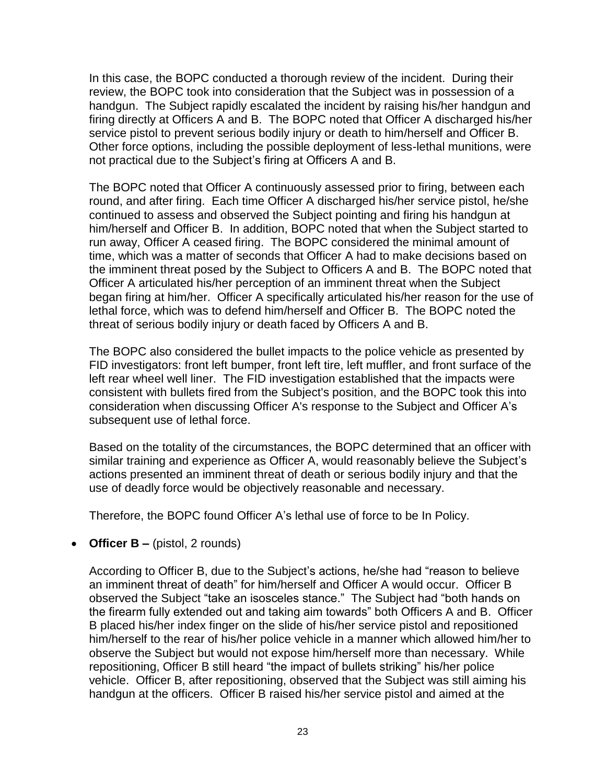In this case, the BOPC conducted a thorough review of the incident. During their review, the BOPC took into consideration that the Subject was in possession of a handgun. The Subject rapidly escalated the incident by raising his/her handgun and firing directly at Officers A and B. The BOPC noted that Officer A discharged his/her service pistol to prevent serious bodily injury or death to him/herself and Officer B. Other force options, including the possible deployment of less-lethal munitions, were not practical due to the Subject's firing at Officers A and B.

The BOPC noted that Officer A continuously assessed prior to firing, between each round, and after firing. Each time Officer A discharged his/her service pistol, he/she continued to assess and observed the Subject pointing and firing his handgun at him/herself and Officer B. In addition, BOPC noted that when the Subject started to run away, Officer A ceased firing. The BOPC considered the minimal amount of time, which was a matter of seconds that Officer A had to make decisions based on the imminent threat posed by the Subject to Officers A and B. The BOPC noted that Officer A articulated his/her perception of an imminent threat when the Subject began firing at him/her. Officer A specifically articulated his/her reason for the use of lethal force, which was to defend him/herself and Officer B. The BOPC noted the threat of serious bodily injury or death faced by Officers A and B.

The BOPC also considered the bullet impacts to the police vehicle as presented by FID investigators: front left bumper, front left tire, left muffler, and front surface of the left rear wheel well liner. The FID investigation established that the impacts were consistent with bullets fired from the Subject's position, and the BOPC took this into consideration when discussing Officer A's response to the Subject and Officer A's subsequent use of lethal force.

Based on the totality of the circumstances, the BOPC determined that an officer with similar training and experience as Officer A, would reasonably believe the Subject's actions presented an imminent threat of death or serious bodily injury and that the use of deadly force would be objectively reasonable and necessary.

Therefore, the BOPC found Officer A's lethal use of force to be In Policy.

• **Officer B –** (pistol, 2 rounds)

According to Officer B, due to the Subject's actions, he/she had "reason to believe an imminent threat of death" for him/herself and Officer A would occur. Officer B observed the Subject "take an isosceles stance." The Subject had "both hands on the firearm fully extended out and taking aim towards" both Officers A and B. Officer B placed his/her index finger on the slide of his/her service pistol and repositioned him/herself to the rear of his/her police vehicle in a manner which allowed him/her to observe the Subject but would not expose him/herself more than necessary. While repositioning, Officer B still heard "the impact of bullets striking" his/her police vehicle. Officer B, after repositioning, observed that the Subject was still aiming his handgun at the officers. Officer B raised his/her service pistol and aimed at the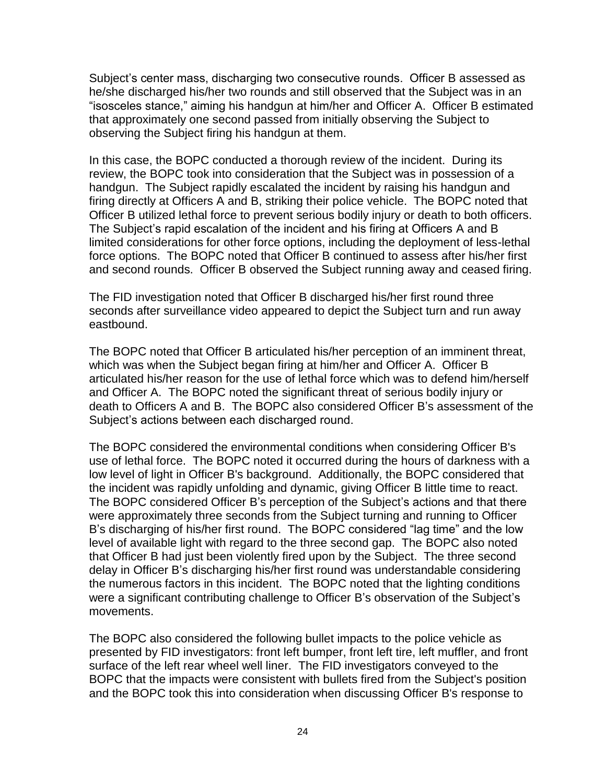Subject's center mass, discharging two consecutive rounds. Officer B assessed as he/she discharged his/her two rounds and still observed that the Subject was in an "isosceles stance," aiming his handgun at him/her and Officer A. Officer B estimated that approximately one second passed from initially observing the Subject to observing the Subject firing his handgun at them.

In this case, the BOPC conducted a thorough review of the incident. During its review, the BOPC took into consideration that the Subject was in possession of a handgun. The Subject rapidly escalated the incident by raising his handgun and firing directly at Officers A and B, striking their police vehicle. The BOPC noted that Officer B utilized lethal force to prevent serious bodily injury or death to both officers. The Subject's rapid escalation of the incident and his firing at Officers A and B limited considerations for other force options, including the deployment of less-lethal force options. The BOPC noted that Officer B continued to assess after his/her first and second rounds. Officer B observed the Subject running away and ceased firing.

The FID investigation noted that Officer B discharged his/her first round three seconds after surveillance video appeared to depict the Subject turn and run away eastbound.

The BOPC noted that Officer B articulated his/her perception of an imminent threat, which was when the Subject began firing at him/her and Officer A. Officer B articulated his/her reason for the use of lethal force which was to defend him/herself and Officer A. The BOPC noted the significant threat of serious bodily injury or death to Officers A and B. The BOPC also considered Officer B's assessment of the Subject's actions between each discharged round.

The BOPC considered the environmental conditions when considering Officer B's use of lethal force. The BOPC noted it occurred during the hours of darkness with a low level of light in Officer B's background. Additionally, the BOPC considered that the incident was rapidly unfolding and dynamic, giving Officer B little time to react. The BOPC considered Officer B's perception of the Subject's actions and that there were approximately three seconds from the Subject turning and running to Officer B's discharging of his/her first round. The BOPC considered "lag time" and the low level of available light with regard to the three second gap. The BOPC also noted that Officer B had just been violently fired upon by the Subject. The three second delay in Officer B's discharging his/her first round was understandable considering the numerous factors in this incident. The BOPC noted that the lighting conditions were a significant contributing challenge to Officer B's observation of the Subject's movements.

The BOPC also considered the following bullet impacts to the police vehicle as presented by FID investigators: front left bumper, front left tire, left muffler, and front surface of the left rear wheel well liner. The FID investigators conveyed to the BOPC that the impacts were consistent with bullets fired from the Subject's position and the BOPC took this into consideration when discussing Officer B's response to